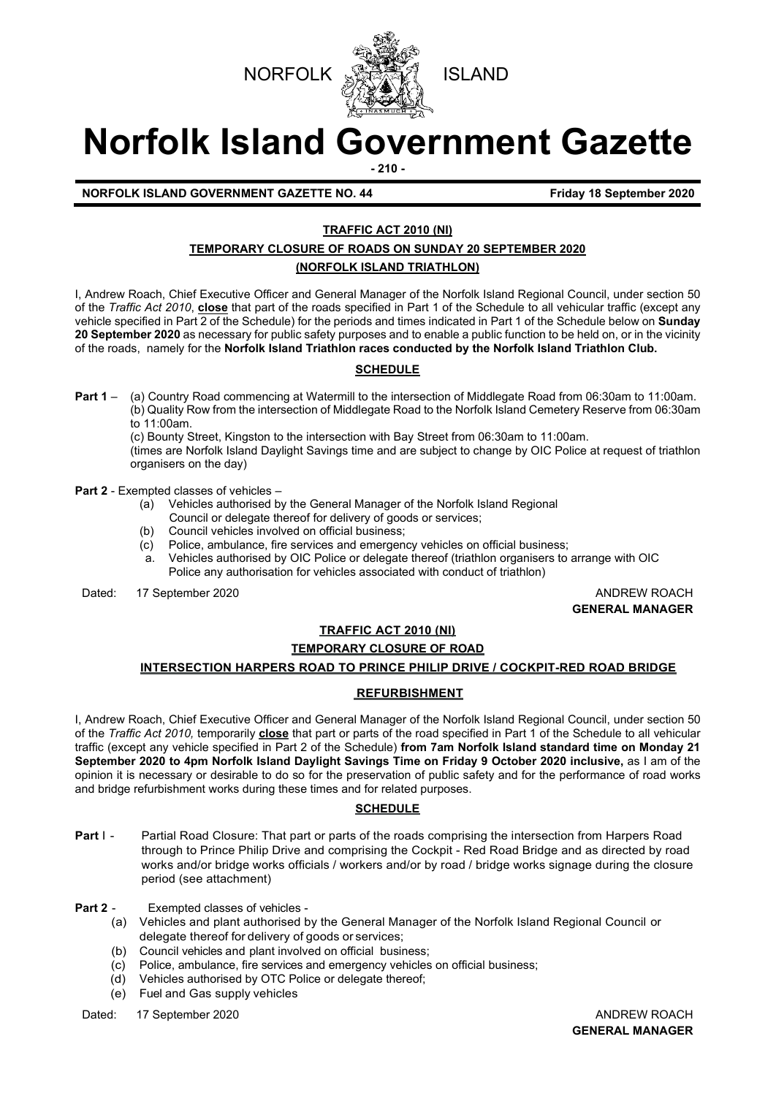



# **Norfolk Island Government Gazette**

**- 210 -**

**NORFOLK ISLAND GOVERNMENT GAZETTE NO. 44 Friday 18 September 2020** 

## **TRAFFIC ACT 2010 (NI)**

## **TEMPORARY CLOSURE OF ROADS ON SUNDAY 20 SEPTEMBER 2020**

## **(NORFOLK ISLAND TRIATHLON)**

I, Andrew Roach, Chief Executive Officer and General Manager of the Norfolk Island Regional Council, under section 50 of the *Traffic Act 2010*, **close** that part of the roads specified in Part 1 of the Schedule to all vehicular traffic (except any vehicle specified in Part 2 of the Schedule) for the periods and times indicated in Part 1 of the Schedule below on **Sunday 20 September 2020** as necessary for public safety purposes and to enable a public function to be held on, or in the vicinity of the roads, namely for the **Norfolk Island Triathlon races conducted by the Norfolk Island Triathlon Club.**

## **SCHEDULE**

**Part 1** – (a) Country Road commencing at Watermill to the intersection of Middlegate Road from 06:30am to 11:00am. (b) Quality Row from the intersection of Middlegate Road to the Norfolk Island Cemetery Reserve from 06:30am to 11:00am.

(c) Bounty Street, Kingston to the intersection with Bay Street from 06:30am to 11:00am.

(times are Norfolk Island Daylight Savings time and are subject to change by OIC Police at request of triathlon organisers on the day)

**Part 2** - Exempted classes of vehicles –<br>(a) Vehicles authorised by

- Vehicles authorised by the General Manager of the Norfolk Island Regional
- Council or delegate thereof for delivery of goods or services; (b) Council vehicles involved on official business;
- (c) Police, ambulance, fire services and emergency vehicles on official business;
- a. Vehicles authorised by OIC Police or delegate thereof (triathlon organisers to arrange with OIC Police any authorisation for vehicles associated with conduct of triathlon)

Dated: 17 September 2020 **ANDREW ROACH BELL ANDREW ROACH** 

**GENERAL MANAGER**

## **TRAFFIC ACT 2010 (NI)**

## **TEMPORARY CLOSURE OF ROAD**

## **INTERSECTION HARPERS ROAD TO PRINCE PHILIP DRIVE / COCKPIT-RED ROAD BRIDGE**

### **REFURBISHMENT**

I, Andrew Roach, Chief Executive Officer and General Manager of the Norfolk Island Regional Council, under section 50 of the *Traffic Act 2010,* temporarily **close** that part or parts of the road specified in Part 1 of the Schedule to all vehicular traffic (except any vehicle specified in Part 2 of the Schedule) **from 7am Norfolk Island standard time on Monday 21**  September 2020 to 4pm Norfolk Island Daylight Savings Time on Friday 9 October 2020 inclusive, as I am of the opinion it is necessary or desirable to do so for the preservation of public safety and for the performance of road works and bridge refurbishment works during these times and for related purposes.

### **SCHEDULE**

- **Part I -** Partial Road Closure: That part or parts of the roads comprising the intersection from Harpers Road through to Prince Philip Drive and comprising the Cockpit - Red Road Bridge and as directed by road works and/or bridge works officials / workers and/or by road / bridge works signage during the closure period (see attachment)
- **Part 2** Exempted classes of vehicles
	- (a) Vehicles and plant authorised by the General Manager of the Norfolk Island Regional Council or delegate thereof for delivery of goods or services;
	- (b) Council vehicles and plant involved on official business;
	- (c) Police, ambulance, fire services and emergency vehicles on official business;
	- (d) Vehicles authorised by OTC Police or delegate thereof;
	- (e) Fuel and Gas supply vehicles

Dated: 17 September 2020 **ANDREW ROACH ANDREW ROACH**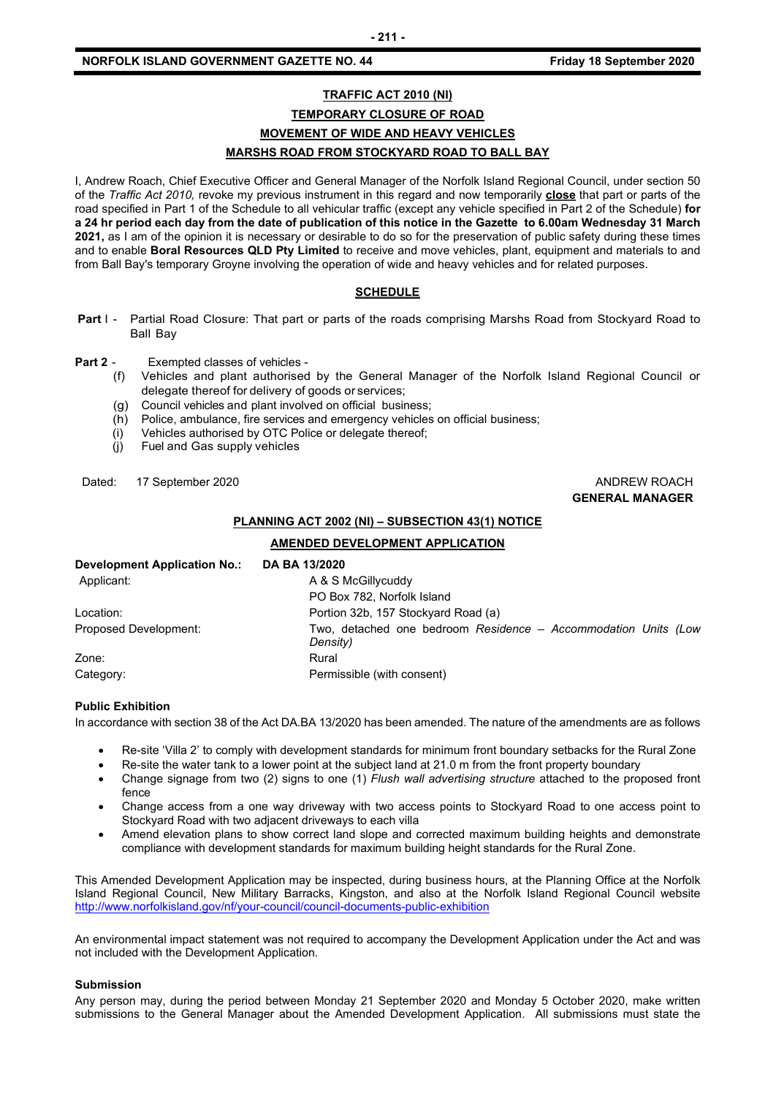## **TRAFFIC ACT 2010 (NI) TEMPORARY CLOSURE OF ROAD MOVEMENT OF WIDE AND HEAVY VEHICLES MARSHS ROAD FROM STOCKYARD ROAD TO BALL BAY**

I, Andrew Roach, Chief Executive Officer and General Manager of the Norfolk Island Regional Council, under section 50 of the *Traffic Act 2010,* revoke my previous instrument in this regard and now temporarily **close** that part or parts of the road specified in Part 1 of the Schedule to all vehicular traffic (except any vehicle specified in Part 2 of the Schedule) **for a 24 hr period each day from the date of publication of this notice in the Gazette to 6.00am Wednesday 31 March 2021,** as I am of the opinion it is necessary or desirable to do so for the preservation of public safety during these times and to enable **Boral Resources QLD Pty Limited** to receive and move vehicles, plant, equipment and materials to and from Ball Bay's temporary Groyne involving the operation of wide and heavy vehicles and for related purposes.

#### **SCHEDULE**

- **Part I -** Partial Road Closure: That part or parts of the roads comprising Marshs Road from Stockyard Road to Ball Bay
- **Part 2** Exempted classes of vehicles
	- (f) Vehicles and plant authorised by the General Manager of the Norfolk Island Regional Council or delegate thereof for delivery of goods or services;
	- (g) Council vehicles and plant involved on official business;
	- (h) Police, ambulance, fire services and emergency vehicles on official business;
	- (i) Vehicles authorised by OTC Police or delegate thereof;<br>(j) Fuel and Gas supply vehicles
	- Fuel and Gas supply vehicles

Dated: 17 September 2020 **ANDREW ROACH CONSIDERER AND ANDREW ROACH** 

## **GENERAL MANAGER**

#### **PLANNING ACT 2002 (NI) – SUBSECTION 43(1) NOTICE**

#### **AMENDED DEVELOPMENT APPLICATION**

| Development Application No.: | DA BA 13/2020                                                              |
|------------------------------|----------------------------------------------------------------------------|
| Applicant:                   | A & S McGillycuddy                                                         |
|                              | PO Box 782, Norfolk Island                                                 |
| Location:                    | Portion 32b, 157 Stockyard Road (a)                                        |
| Proposed Development:        | Two, detached one bedroom Residence - Accommodation Units (Low<br>Density) |
| Zone:                        | Rural                                                                      |
| Category:                    | Permissible (with consent)                                                 |

#### **Public Exhibition**

In accordance with section 38 of the Act DA.BA 13/2020 has been amended. The nature of the amendments are as follows

- Re-site 'Villa 2' to comply with development standards for minimum front boundary setbacks for the Rural Zone
- Re-site the water tank to a lower point at the subject land at 21.0 m from the front property boundary
- Change signage from two (2) signs to one (1) *Flush wall advertising structure* attached to the proposed front fence
- Change access from a one way driveway with two access points to Stockyard Road to one access point to Stockyard Road with two adjacent driveways to each villa
- Amend elevation plans to show correct land slope and corrected maximum building heights and demonstrate compliance with development standards for maximum building height standards for the Rural Zone.

This Amended Development Application may be inspected, during business hours, at the Planning Office at the Norfolk Island Regional Council, New Military Barracks, Kingston, and also at the Norfolk Island Regional Council website <http://www.norfolkisland.gov/nf/your-council/council-documents-public-exhibition>

An environmental impact statement was not required to accompany the Development Application under the Act and was not included with the Development Application.

#### **Submission**

Any person may, during the period between Monday 21 September 2020 and Monday 5 October 2020, make written submissions to the General Manager about the Amended Development Application. All submissions must state the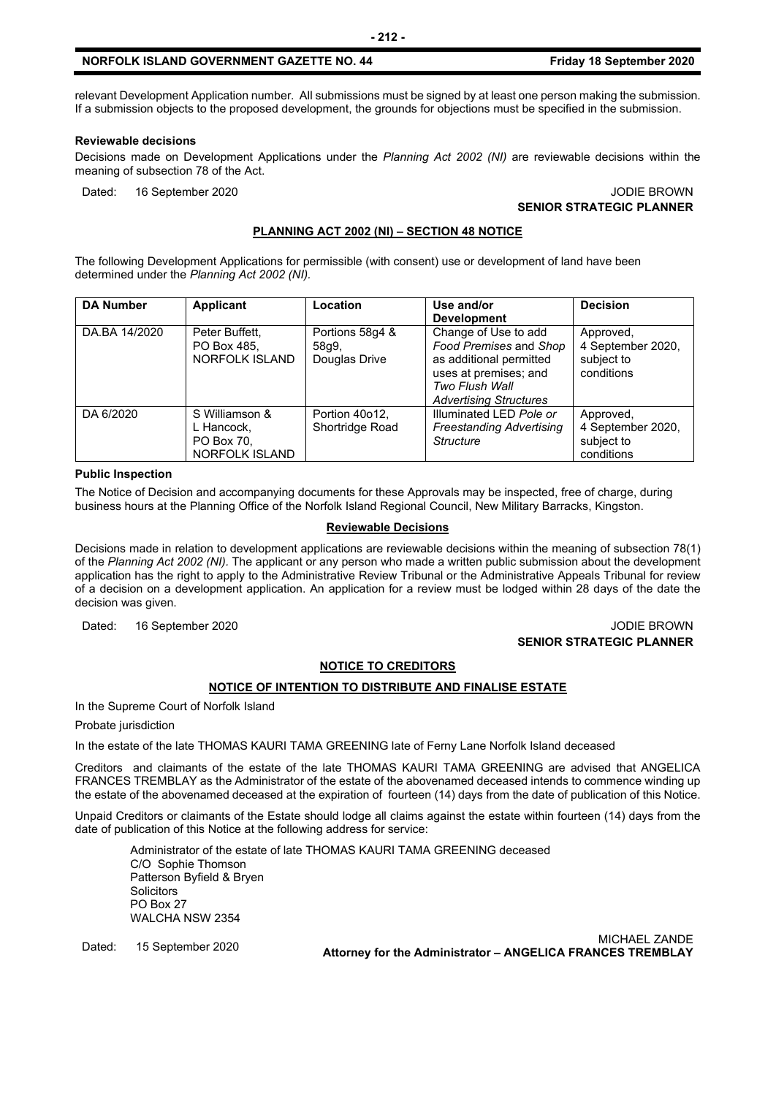#### **NORFOLK ISLAND GOVERNMENT GAZETTE NO. 44 Friday 18 September 2020**

relevant Development Application number. All submissions must be signed by at least one person making the submission. If a submission objects to the proposed development, the grounds for objections must be specified in the submission.

#### **Reviewable decisions**

Decisions made on Development Applications under the *Planning Act 2002 (NI)* are reviewable decisions within the meaning of subsection 78 of the Act.

Dated: 16 September 2020 JODIE BROWN

## **SENIOR STRATEGIC PLANNER**

#### **PLANNING ACT 2002 (NI) – SECTION 48 NOTICE**

The following Development Applications for permissible (with consent) use or development of land have been determined under the *Planning Act 2002 (NI).*

| <b>DA Number</b> | Applicant                                                    | Location                                  | Use and/or                                                                                                           | <b>Decision</b>                                            |
|------------------|--------------------------------------------------------------|-------------------------------------------|----------------------------------------------------------------------------------------------------------------------|------------------------------------------------------------|
|                  |                                                              |                                           | <b>Development</b>                                                                                                   |                                                            |
| DA.BA 14/2020    | Peter Buffett,<br>PO Box 485.<br>NORFOLK ISLAND              | Portions 58g4 &<br>58q9,<br>Douglas Drive | Change of Use to add<br>Food Premises and Shop<br>as additional permitted<br>uses at premises; and<br>Two Flush Wall | Approved,<br>4 September 2020,<br>subject to<br>conditions |
|                  |                                                              |                                           | <b>Advertising Structures</b>                                                                                        |                                                            |
| DA 6/2020        | S Williamson &<br>L Hancock,<br>PO Box 70,<br>NORFOLK ISLAND | Portion 40o12,<br>Shortridge Road         | Illuminated LED Pole or<br><b>Freestanding Advertising</b><br><b>Structure</b>                                       | Approved,<br>4 September 2020,<br>subject to<br>conditions |

#### **Public Inspection**

The Notice of Decision and accompanying documents for these Approvals may be inspected, free of charge, during business hours at the Planning Office of the Norfolk Island Regional Council, New Military Barracks, Kingston.

#### **Reviewable Decisions**

Decisions made in relation to development applications are reviewable decisions within the meaning of subsection 78(1) of the *Planning Act 2002 (NI).* The applicant or any person who made a written public submission about the development application has the right to apply to the Administrative Review Tribunal or the Administrative Appeals Tribunal for review of a decision on a development application. An application for a review must be lodged within 28 days of the date the decision was given.

Dated: 16 September 2020 JODIE BROWN

## **SENIOR STRATEGIC PLANNER**

#### **NOTICE TO CREDITORS**

#### **NOTICE OF INTENTION TO DISTRIBUTE AND FINALISE ESTATE**

In the Supreme Court of Norfolk Island

Probate jurisdiction

In the estate of the late THOMAS KAURI TAMA GREENING late of Ferny Lane Norfolk Island deceased

Creditors and claimants of the estate of the late THOMAS KAURI TAMA GREENING are advised that ANGELICA FRANCES TREMBLAY as the Administrator of the estate of the abovenamed deceased intends to commence winding up the estate of the abovenamed deceased at the expiration of fourteen (14) days from the date of publication of this Notice.

Unpaid Creditors or claimants of the Estate should lodge all claims against the estate within fourteen (14) days from the date of publication of this Notice at the following address for service:

Administrator of the estate of late THOMAS KAURI TAMA GREENING deceased C/O Sophie Thomson Patterson Byfield & Bryen **Solicitors** PO Box 27 WALCHA NSW 2354

Dated: 15 September 2020 MICHAEL ZANDE **Attorney for the Administrator – ANGELICA FRANCES TREMBLAY**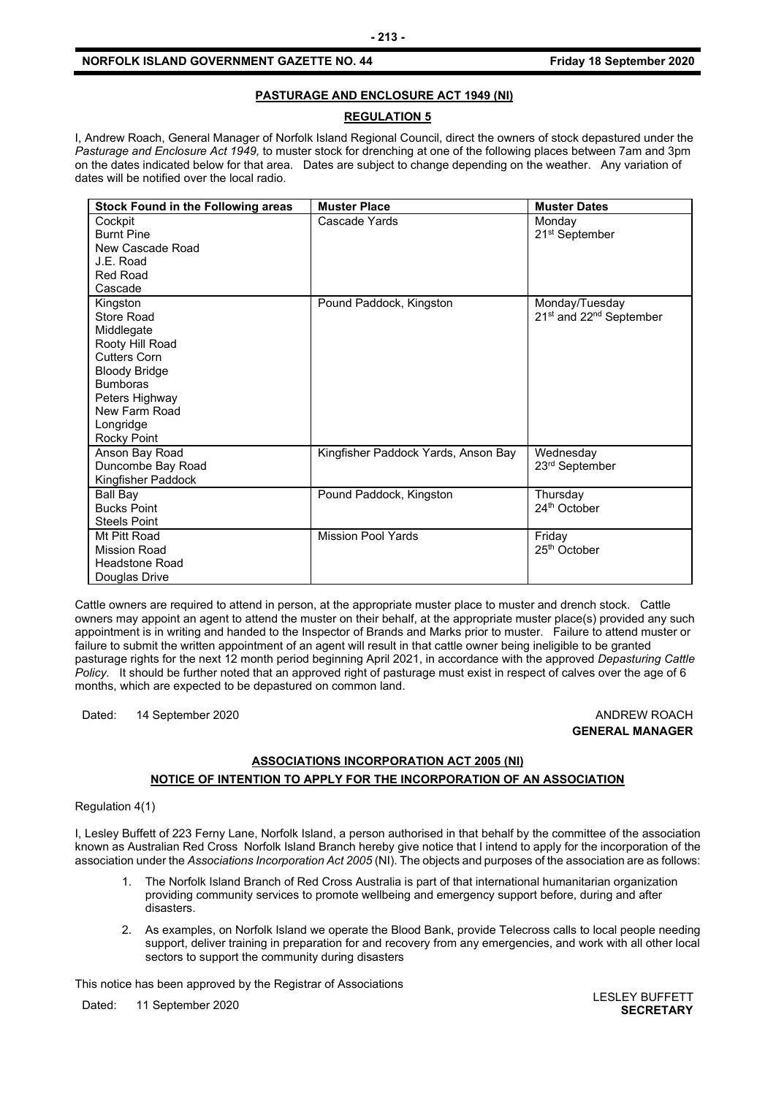#### **PASTURAGE AND ENCLOSURE ACT 1949 (NI)**

### **REGULATION 5**

I, Andrew Roach, General Manager of Norfolk Island Regional Council, direct the owners of stock depastured under the *Pasturage and Enclosure Act 1949,* to muster stock for drenching at one of the following places between 7am and 3pm on the dates indicated below for that area. Dates are subject to change depending on the weather. Any variation of dates will be notified over the local radio.

| <b>Stock Found in the Following areas</b>                                                                                                                                                       | <b>Muster Place</b>                 | <b>Muster Dates</b>                                               |
|-------------------------------------------------------------------------------------------------------------------------------------------------------------------------------------------------|-------------------------------------|-------------------------------------------------------------------|
| Cockpit<br><b>Burnt Pine</b><br>New Cascade Road<br>J.E. Road<br>Red Road<br>Cascade                                                                                                            | Cascade Yards                       | Monday<br>21 <sup>st</sup> September                              |
| Kingston<br>Store Road<br>Middlegate<br>Rooty Hill Road<br><b>Cutters Corn</b><br><b>Bloody Bridge</b><br><b>Bumboras</b><br>Peters Highway<br>New Farm Road<br>Longridge<br><b>Rocky Point</b> | Pound Paddock, Kingston             | Monday/Tuesday<br>21 <sup>st</sup> and 22 <sup>nd</sup> September |
| Anson Bay Road<br>Duncombe Bay Road<br>Kingfisher Paddock                                                                                                                                       | Kingfisher Paddock Yards, Anson Bay | Wednesday<br>23rd September                                       |
| Ball Bay<br><b>Bucks Point</b><br><b>Steels Point</b>                                                                                                                                           | Pound Paddock, Kingston             | Thursday<br>24 <sup>th</sup> October                              |
| Mt Pitt Road<br><b>Mission Road</b><br><b>Headstone Road</b><br>Douglas Drive                                                                                                                   | <b>Mission Pool Yards</b>           | Friday<br>25 <sup>th</sup> October                                |

Cattle owners are required to attend in person, at the appropriate muster place to muster and drench stock. Cattle owners may appoint an agent to attend the muster on their behalf, at the appropriate muster place(s) provided any such appointment is in writing and handed to the Inspector of Brands and Marks prior to muster. Failure to attend muster or failure to submit the written appointment of an agent will result in that cattle owner being ineligible to be granted pasturage rights for the next 12 month period beginning April 2021, in accordance with the approved *Depasturing Cattle Policy.* It should be further noted that an approved right of pasturage must exist in respect of calves over the age of 6 months, which are expected to be depastured on common land.

Dated: 14 September 2020 **ANDREW ROACH BELL ANDREW ROACH** 

## **GENERAL MANAGER**

## **ASSOCIATIONS INCORPORATION ACT 2005 (NI) NOTICE OF INTENTION TO APPLY FOR THE INCORPORATION OF AN ASSOCIATION**

Regulation 4(1)

I, Lesley Buffett of 223 Ferny Lane, Norfolk Island, a person authorised in that behalf by the committee of the association known as Australian Red Cross Norfolk Island Branch hereby give notice that I intend to apply for the incorporation of the association under the *Associations Incorporation Act 2005* (NI). The objects and purposes of the association are as follows:

- 1. The Norfolk Island Branch of Red Cross Australia is part of that international humanitarian organization providing community services to promote wellbeing and emergency support before, during and after disasters.
- 2. As examples, on Norfolk Island we operate the Blood Bank, provide Telecross calls to local people needing support, deliver training in preparation for and recovery from any emergencies, and work with all other local sectors to support the community during disasters

This notice has been approved by the Registrar of Associations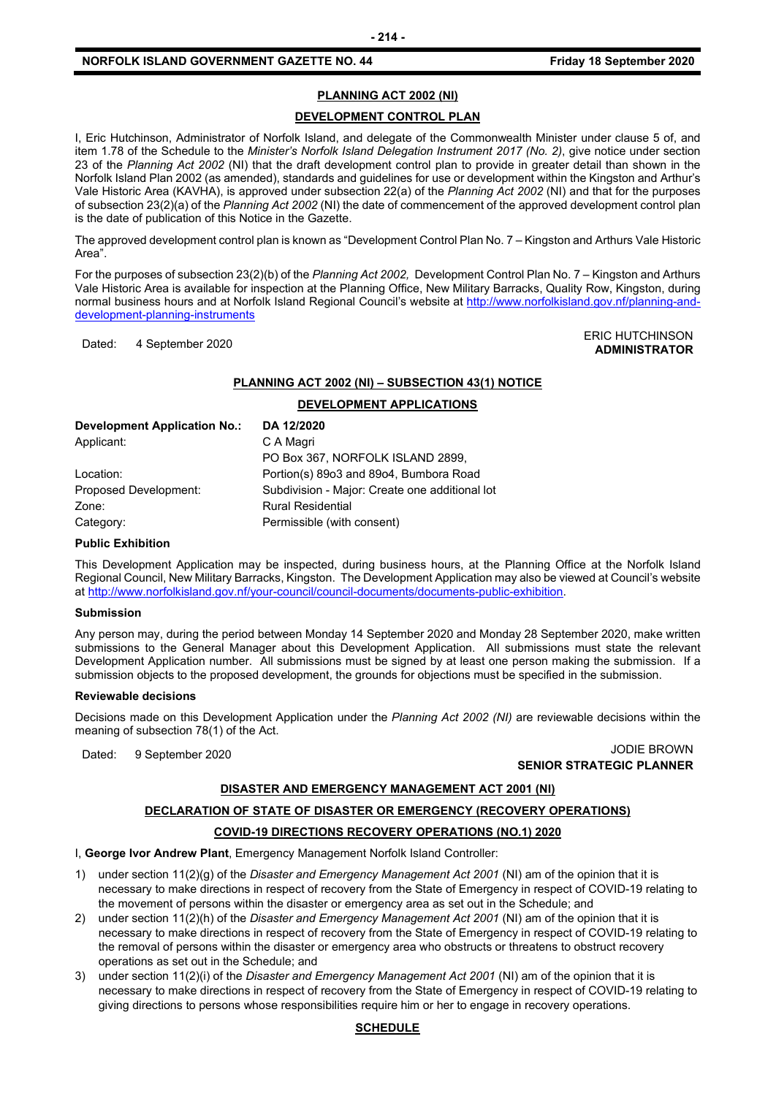#### **NORFOLK ISLAND GOVERNMENT GAZETTE NO. 44 Friday 18 September 2020**

#### **PLANNING ACT 2002 (NI)**

#### **DEVELOPMENT CONTROL PLAN**

I, Eric Hutchinson, Administrator of Norfolk Island, and delegate of the Commonwealth Minister under clause 5 of, and item 1.78 of the Schedule to the *Minister's Norfolk Island Delegation Instrument 2017 (No. 2)*, give notice under section 23 of the *Planning Act 2002* (NI) that the draft development control plan to provide in greater detail than shown in the Norfolk Island Plan 2002 (as amended), standards and guidelines for use or development within the Kingston and Arthur's Vale Historic Area (KAVHA), is approved under subsection 22(a) of the *Planning Act 2002* (NI) and that for the purposes of subsection 23(2)(a) of the *Planning Act 2002* (NI) the date of commencement of the approved development control plan is the date of publication of this Notice in the Gazette.

The approved development control plan is known as "Development Control Plan No. 7 – Kingston and Arthurs Vale Historic Area".

For the purposes of subsection 23(2)(b) of the *Planning Act 2002,* Development Control Plan No. 7 – Kingston and Arthurs Vale Historic Area is available for inspection at the Planning Office, New Military Barracks, Quality Row, Kingston, during normal business hours and at Norfolk Island Regional Council's website at [http://www.norfolkisland.gov.nf/planning-and](http://www.norfolkisland.gov.nf/planning-and-development-planning-instruments)[development-planning-instruments](http://www.norfolkisland.gov.nf/planning-and-development-planning-instruments)

Dated: 4 September 2020<br>Dated: 4 September 2020 **ADMINISTRATOR**

#### **PLANNING ACT 2002 (NI) – SUBSECTION 43(1) NOTICE**

|                              | DEVELOPMENT APPLICATIONS                       |
|------------------------------|------------------------------------------------|
| Development Application No.: | DA 12/2020                                     |
| Applicant:                   | C A Magri                                      |
|                              | PO Box 367, NORFOLK ISLAND 2899,               |
| Location:                    | Portion(s) 89o3 and 89o4, Bumbora Road         |
| Proposed Development:        | Subdivision - Major: Create one additional lot |
| Zone:                        | <b>Rural Residential</b>                       |
| Category:                    | Permissible (with consent)                     |

#### **Public Exhibition**

This Development Application may be inspected, during business hours, at the Planning Office at the Norfolk Island Regional Council, New Military Barracks, Kingston. The Development Application may also be viewed at Council's website a[t http://www.norfolkisland.gov.nf/your-council/council-documents/documents-public-exhibition.](http://www.norfolkisland.gov.nf/your-council/council-documents/documents-public-exhibition)

#### **Submission**

Any person may, during the period between Monday 14 September 2020 and Monday 28 September 2020, make written submissions to the General Manager about this Development Application. All submissions must state the relevant Development Application number. All submissions must be signed by at least one person making the submission. If a submission objects to the proposed development, the grounds for objections must be specified in the submission.

#### **Reviewable decisions**

Decisions made on this Development Application under the *Planning Act 2002 (NI)* are reviewable decisions within the meaning of subsection 78(1) of the Act.

#### Dated: 9 September 2020 JODIE BROWN **SENIOR STRATEGIC PLANNER**

#### **DISASTER AND EMERGENCY MANAGEMENT ACT 2001 (NI)**

#### **DECLARATION OF STATE OF DISASTER OR EMERGENCY (RECOVERY OPERATIONS)**

#### **COVID-19 DIRECTIONS RECOVERY OPERATIONS (NO.1) 2020**

I, **George Ivor Andrew Plant**, Emergency Management Norfolk Island Controller:

- 1) under section 11(2)(g) of the *Disaster and Emergency Management Act 2001* (NI) am of the opinion that it is necessary to make directions in respect of recovery from the State of Emergency in respect of COVID-19 relating to the movement of persons within the disaster or emergency area as set out in the Schedule; and
- 2) under section 11(2)(h) of the *Disaster and Emergency Management Act 2001* (NI) am of the opinion that it is necessary to make directions in respect of recovery from the State of Emergency in respect of COVID-19 relating to the removal of persons within the disaster or emergency area who obstructs or threatens to obstruct recovery operations as set out in the Schedule; and
- 3) under section 11(2)(i) of the *Disaster and Emergency Management Act 2001* (NI) am of the opinion that it is necessary to make directions in respect of recovery from the State of Emergency in respect of COVID-19 relating to giving directions to persons whose responsibilities require him or her to engage in recovery operations.

# **- 214 -**

#### **SCHEDULE**